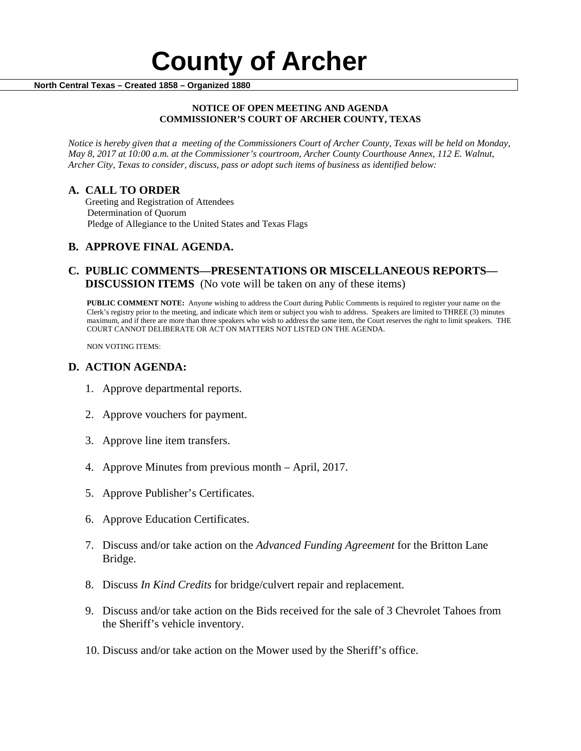#### **NOTICE OF OPEN MEETING AND AGENDA COMMISSIONER'S COURT OF ARCHER COUNTY, TEXAS**

*Notice is hereby given that a meeting of the Commissioners Court of Archer County, Texas will be held on Monday, May 8, 2017 at 10:00 a.m. at the Commissioner's courtroom, Archer County Courthouse Annex, 112 E. Walnut, Archer City, Texas to consider, discuss, pass or adopt such items of business as identified below:*

**A. CALL TO ORDER** Greeting and Registration of Attendees Determination of Quorum Pledge of Allegiance to the United States and Texas Flags

# **B. APPROVE FINAL AGENDA.**

# **C. PUBLIC COMMENTS—PRESENTATIONS OR MISCELLANEOUS REPORTS— DISCUSSION ITEMS** (No vote will be taken on any of these items)

**PUBLIC COMMENT NOTE:** Anyone wishing to address the Court during Public Comments is required to register your name on the Clerk's registry prior to the meeting, and indicate which item or subject you wish to address. Speakers are limited to THREE (3) minutes maximum, and if there are more than three speakers who wish to address the same item, the Court reserves the right to limit speakers. THE COURT CANNOT DELIBERATE OR ACT ON MATTERS NOT LISTED ON THE AGENDA.

NON VOTING ITEMS:

### **D. ACTION AGENDA:**

- 1. Approve departmental reports.
- 2. Approve vouchers for payment.
- 3. Approve line item transfers.
- 4. Approve Minutes from previous month April, 2017.
- 5. Approve Publisher's Certificates.
- 6. Approve Education Certificates.
- 7. Discuss and/or take action on the *Advanced Funding Agreement* for the Britton Lane Bridge.
- 8. Discuss *In Kind Credits* for bridge/culvert repair and replacement.
- 9. Discuss and/or take action on the Bids received for the sale of 3 Chevrolet Tahoes from the Sheriff's vehicle inventory.
- 10. Discuss and/or take action on the Mower used by the Sheriff's office.